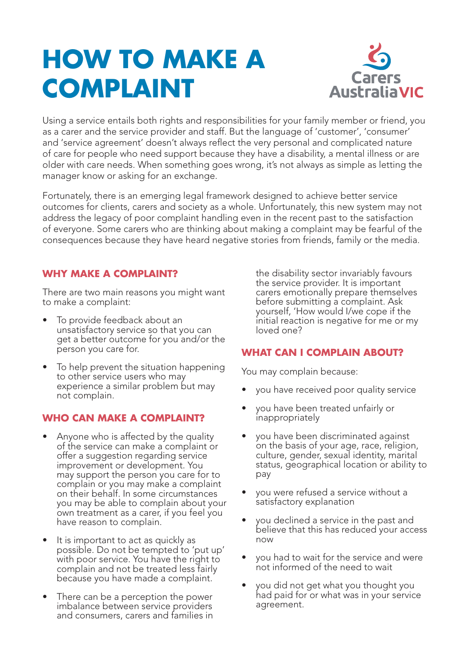# **HOW TO MAKE A COMPLAINT**



Using a service entails both rights and responsibilities for your family member or friend, you as a carer and the service provider and staff. But the language of 'customer', 'consumer' and 'service agreement' doesn't always reflect the very personal and complicated nature of care for people who need support because they have a disability, a mental illness or are older with care needs. When something goes wrong, it's not always as simple as letting the manager know or asking for an exchange.

Fortunately, there is an emerging legal framework designed to achieve better service outcomes for clients, carers and society as a whole. Unfortunately, this new system may not address the legacy of poor complaint handling even in the recent past to the satisfaction of everyone. Some carers who are thinking about making a complaint may be fearful of the consequences because they have heard negative stories from friends, family or the media.

## **WHY MAKE A COMPLAINT?**

There are two main reasons you might want to make a complaint:

- To provide feedback about an unsatisfactory service so that you can get a better outcome for you and/or the person you care for.
- To help prevent the situation happening to other service users who may experience a similar problem but may not complain.

## **WHO CAN MAKE A COMPLAINT?**

- Anyone who is affected by the quality of the service can make a complaint or offer a suggestion regarding service improvement or development. You may support the person you care for to complain or you may make a complaint on their behalf. In some circumstances you may be able to complain about your own treatment as a carer, if you feel you have reason to complain.
- It is important to act as quickly as possible. Do not be tempted to 'put up' with poor service. You have the right to complain and not be treated less fairly because you have made a complaint.
- There can be a perception the power imbalance between service providers and consumers, carers and families in

the disability sector invariably favours the service provider. It is important carers emotionally prepare themselves before submitting a complaint. Ask yourself, 'How would I/we cope if the initial reaction is negative for me or my loved one?

## **WHAT CAN I COMPLAIN ABOUT?**

You may complain because:

- you have received poor quality service
- you have been treated unfairly or inappropriately
- you have been discriminated against on the basis of your age, race, religion, culture, gender, sexual identity, marital status, geographical location or ability to pay
- you were refused a service without a satisfactory explanation
- you declined a service in the past and believe that this has reduced your access now
- you had to wait for the service and were not informed of the need to wait
- you did not get what you thought you had paid for or what was in your service agreement.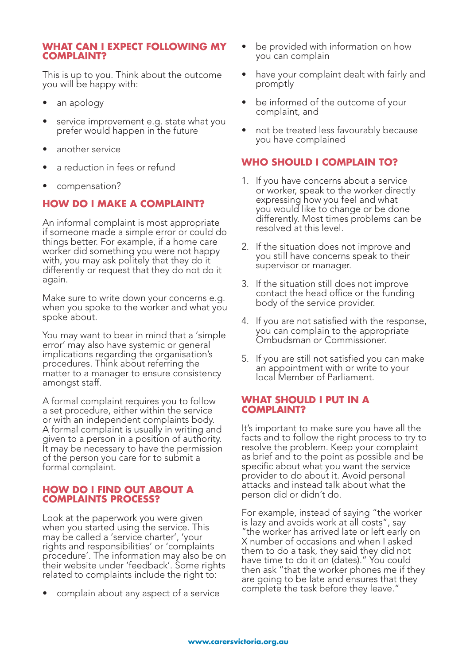#### **WHAT CAN I EXPECT FOLLOWING MY COMPLAINT?**

This is up to you. Think about the outcome you will be happy with:

- an apology
- service improvement e.g. state what you prefer would happen in the future
- another service
- a reduction in fees or refund
- compensation?

## **HOW DO I MAKE A COMPLAINT?**

An informal complaint is most appropriate if someone made a simple error or could do things better. For example, if a home care worker did something you were not happy with, you may ask politely that they do it differently or request that they do not do it again.

Make sure to write down your concerns e.g. when you spoke to the worker and what you spoke about.

You may want to bear in mind that a 'simple error' may also have systemic or general implications regarding the organisation's procedures. Think about referring the matter to a manager to ensure consistency amongst staff.

A formal complaint requires you to follow a set procedure, either within the service or with an independent complaints body. A formal complaint is usually in writing and given to a person in a position of authority. It may be necessary to have the permission of the person you care for to submit a formal complaint.

#### **HOW DO I FIND OUT ABOUT A COMPLAINTS PROCESS?**

Look at the paperwork you were given when you started using the service. This may be called a 'service charter', 'your rights and responsibilities' or 'complaints procedure'. The information may also be on their website under 'feedback'. Some rights related to complaints include the right to:

• complain about any aspect of a service

- be provided with information on how you can complain
- have your complaint dealt with fairly and promptly
- be informed of the outcome of your complaint, and
- not be treated less favourably because you have complained

## **WHO SHOULD I COMPLAIN TO?**

- 1. If you have concerns about a service or worker, speak to the worker directly expressing how you feel and what you would like to change or be done differently. Most times problems can be resolved at this level.
- 2. If the situation does not improve and you still have concerns speak to their supervisor or manager.
- 3. If the situation still does not improve contact the head office or the funding body of the service provider.
- 4. If you are not satisfied with the response, you can complain to the appropriate Ombudsman or Commissioner.
- 5. If you are still not satisfied you can make an appointment with or write to your local Member of Parliament.

#### **WHAT SHOULD I PUT IN A COMPLAINT?**

It's important to make sure you have all the facts and to follow the right process to try to resolve the problem. Keep your complaint as brief and to the point as possible and be specific about what you want the service provider to do about it. Avoid personal attacks and instead talk about what the person did or didn't do.

For example, instead of saying "the worker is lazy and avoids work at all costs", say "the worker has arrived late or left early on X number of occasions and when I asked them to do a task, they said they did not have time to do it on (dates)." You could then ask "that the worker phones me if they are going to be late and ensures that they complete the task before they leave."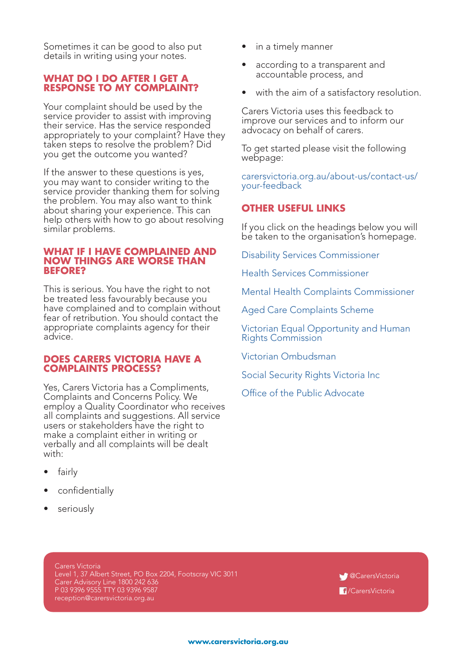Sometimes it can be good to also put details in writing using your notes.

#### **WHAT DO I DO AFTER I GET A RESPONSE TO MY COMPLAINT?**

Your complaint should be used by the service provider to assist with improving their service. Has the service responded appropriately to your complaint? Have they taken steps to resolve the problem? Did you get the outcome you wanted?

If the answer to these questions is yes, you may want to consider writing to the service provider thanking them for solving the problem. You may also want to think about sharing your experience. This can help others with how to go about resolving similar problems.

#### **WHAT IF I HAVE COMPLAINED AND NOW THINGS ARE WORSE THAN BEFORE?**

This is serious. You have the right to not be treated less favourably because you have complained and to complain without fear of retribution. You should contact the appropriate complaints agency for their advice.

#### **DOES CARERS VICTORIA HAVE A COMPLAINTS PROCESS?**

Yes, Carers Victoria has a Compliments, Complaints and Concerns Policy. We employ a Quality Coordinator who receives all complaints and suggestions. All service users or stakeholders have the right to make a complaint either in writing or verbally and all complaints will be dealt with:

- fairly
- confidentially
- seriously
- in a timely manner
- according to a transparent and accountable process, and
- with the aim of a satisfactory resolution.

Carers Victoria uses this feedback to improve our services and to inform our advocacy on behalf of carers.

To get started please visit the following webpage:

[carersvictoria.org.au/about-us/contact-us/](http://www.carersvictoria.org.au/about-us/contact-us/your-feedback/ ) [your-feedback](http://www.carersvictoria.org.au/about-us/contact-us/your-feedback/ )

### **OTHER USEFUL LINKS**

If you click on the headings below you will be taken to the organisation's homepage.

[Disability Services Commissioner](http://www.odsc.vic.gov.au/) 

[Health Services Commissioner](https://hcc.vic.gov.au/) 

[Mental Health Complaints Commissioner](http://www.mhcc.vic.gov.au/)

[Aged Care Complaints Scheme](https://www.agedcarecomplaints.gov.au/) 

[Victorian Equal Opportunity and Human](http://www.humanrightscommission.vic.gov.au/)  [Rights Commission](http://www.humanrightscommission.vic.gov.au/) 

[Victorian Ombudsman](https://www.ombudsman.vic.gov.au/)

[Social Security Rights Victoria Inc](http://www.ssrv.org.au/services/)

[Office of the Public Advocate](http://www.publicadvocate.vic.gov.au/)

Carers Victoria Level 1, 37 Albert Street, PO Box 2204, Footscray VIC 3011 Carer Advisory Line 1800 242 636 P 03 9396 9555 TTY 03 9396 9587 reception@carersvictoria.org.au

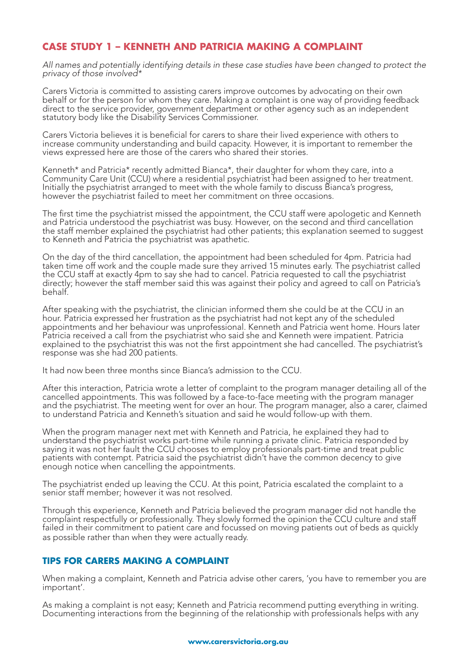## **CASE STUDY 1 – KENNETH AND PATRICIA MAKING A COMPLAINT**

*All names and potentially identifying details in these case studies have been changed to protect the privacy of those involved\**

Carers Victoria is committed to assisting carers improve outcomes by advocating on their own behalf or for the person for whom they care. Making a complaint is one way of providing feedback direct to the service provider, government department or other agency such as an independent statutory body like the Disability Services Commissioner.

Carers Victoria believes it is beneficial for carers to share their lived experience with others to increase community understanding and build capacity. However, it is important to remember the views expressed here are those of the carers who shared their stories.

Kenneth\* and Patricia\* recently admitted Bianca\*, their daughter for whom they care, into a Community Care Unit (CCU) where a residential psychiatrist had been assigned to her treatment. Initially the psychiatrist arranged to meet with the whole family to discuss Bianca's progress, however the psychiatrist failed to meet her commitment on three occasions.

The first time the psychiatrist missed the appointment, the CCU staff were apologetic and Kenneth and Patricia understood the psychiatrist was busy. However, on the second and third cancellation the staff member explained the psychiatrist had other patients; this explanation seemed to suggest to Kenneth and Patricia the psychiatrist was apathetic.

On the day of the third cancellation, the appointment had been scheduled for 4pm. Patricia had taken time off work and the couple made sure they arrived 15 minutes early. The psychiatrist called the CCU staff at exactly 4pm to say she had to cancel. Patricia requested to call the psychiatrist directly; however the staff member said this was against their policy and agreed to call on Patricia's behalf.

After speaking with the psychiatrist, the clinician informed them she could be at the CCU in an hour. Patricia expressed her frustration as the psychiatrist had not kept any of the scheduled appointments and her behaviour was unprofessional. Kenneth and Patricia went home. Hours later Patricia received a call from the psychiatrist who said she and Kenneth were impatient. Patricia explained to the psychiatrist this was not the first appointment she had cancelled. The psychiatrist's response was she had 200 patients.

It had now been three months since Bianca's admission to the CCU.

After this interaction, Patricia wrote a letter of complaint to the program manager detailing all of the cancelled appointments. This was followed by a face-to-face meeting with the program manager and the psychiatrist. The meeting went for over an hour. The program manager, also a carer, claimed to understand Patricia and Kenneth's situation and said he would follow-up with them.

When the program manager next met with Kenneth and Patricia, he explained they had to understand the psychiatrist works part-time while running a private clinic. Patricia responded by saying it was not her fault the CCU chooses to employ professionals part-time and treat public patients with contempt. Patricia said the psychiatrist didn't have the common decency to give enough notice when cancelling the appointments.

The psychiatrist ended up leaving the CCU. At this point, Patricia escalated the complaint to a senior staff member; however it was not resolved.

Through this experience, Kenneth and Patricia believed the program manager did not handle the complaint respectfully or professionally. They slowly formed the opinion the CCU culture and staff failed in their commitment to patient care and focussed on moving patients out of beds as quickly as possible rather than when they were actually ready.

#### **TIPS FOR CARERS MAKING A COMPLAINT**

When making a complaint, Kenneth and Patricia advise other carers, 'you have to remember you are important'.

As making a complaint is not easy; Kenneth and Patricia recommend putting everything in writing. Documenting interactions from the beginning of the relationship with professionals helps with any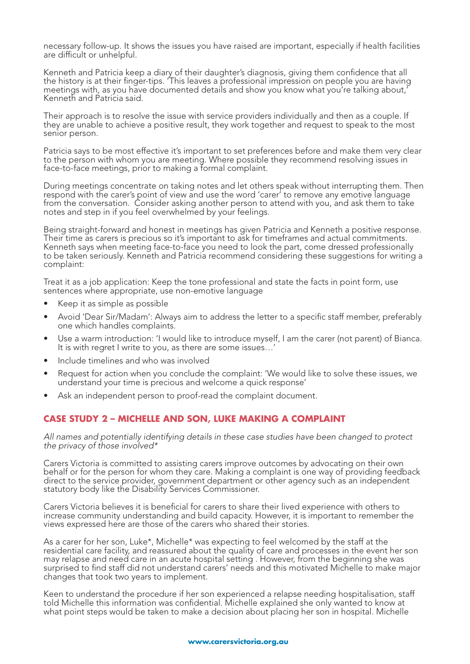necessary follow-up. It shows the issues you have raised are important, especially if health facilities are difficult or unhelpful.

Kenneth and Patricia keep a diary of their daughter's diagnosis, giving them confidence that all the history is at their finger-tips. 'This leaves a professional impression on people you are having meetings with, as you have documented details and show you know what you're talking about,' Kenneth and Patricia said.

Their approach is to resolve the issue with service providers individually and then as a couple. If they are unable to achieve a positive result, they work together and request to speak to the most senior person.

Patricia says to be most effective it's important to set preferences before and make them very clear to the person with whom you are meeting. Where possible they recommend resolving issues in face-to-face meetings, prior to making a formal complaint.

During meetings concentrate on taking notes and let others speak without interrupting them. Then respond with the carer's point of view and use the word 'carer' to remove any emotive language from the conversation. Consider asking another person to attend with you, and ask them to take notes and step in if you feel overwhelmed by your feelings.

Being straight-forward and honest in meetings has given Patricia and Kenneth a positive response. Their time as carers is precious so it's important to ask for timeframes and actual commitments. Kenneth says when meeting face-to-face you need to look the part, come dressed professionally to be taken seriously. Kenneth and Patricia recommend considering these suggestions for writing a complaint:

Treat it as a job application: Keep the tone professional and state the facts in point form, use sentences where appropriate, use non-emotive language

- Keep it as simple as possible
- Avoid 'Dear Sir/Madam': Always aim to address the letter to a specific staff member, preferably one which handles complaints.
- Use a warm introduction: 'I would like to introduce myself, I am the carer (not parent) of Bianca. It is with regret I write to you, as there are some issues…'
- Include timelines and who was involved
- Request for action when you conclude the complaint: 'We would like to solve these issues, we understand your time is precious and welcome a quick response'
- Ask an independent person to proof-read the complaint document.

#### **CASE STUDY 2 – MICHELLE AND SON, LUKE MAKING A COMPLAINT**

*All names and potentially identifying details in these case studies have been changed to protect the privacy of those involved\**

Carers Victoria is committed to assisting carers improve outcomes by advocating on their own behalf or for the person for whom they care. Making a complaint is one way of providing feedback direct to the service provider, government department or other agency such as an independent statutory body like the Disability Services Commissioner.

Carers Victoria believes it is beneficial for carers to share their lived experience with others to increase community understanding and build capacity. However, it is important to remember the views expressed here are those of the carers who shared their stories.

As a carer for her son, Luke\*, Michelle\* was expecting to feel welcomed by the staff at the residential care facility, and reassured about the quality of care and processes in the event her son may relapse and need care in an acute hospital setting . However, from the beginning she was surprised to find staff did not understand carers' needs and this motivated Michelle to make major changes that took two years to implement.

Keen to understand the procedure if her son experienced a relapse needing hospitalisation, staff told Michelle this information was confidential. Michelle explained she only wanted to know at what point steps would be taken to make a decision about placing her son in hospital. Michelle

#### **www.carersvictoria.org.au**